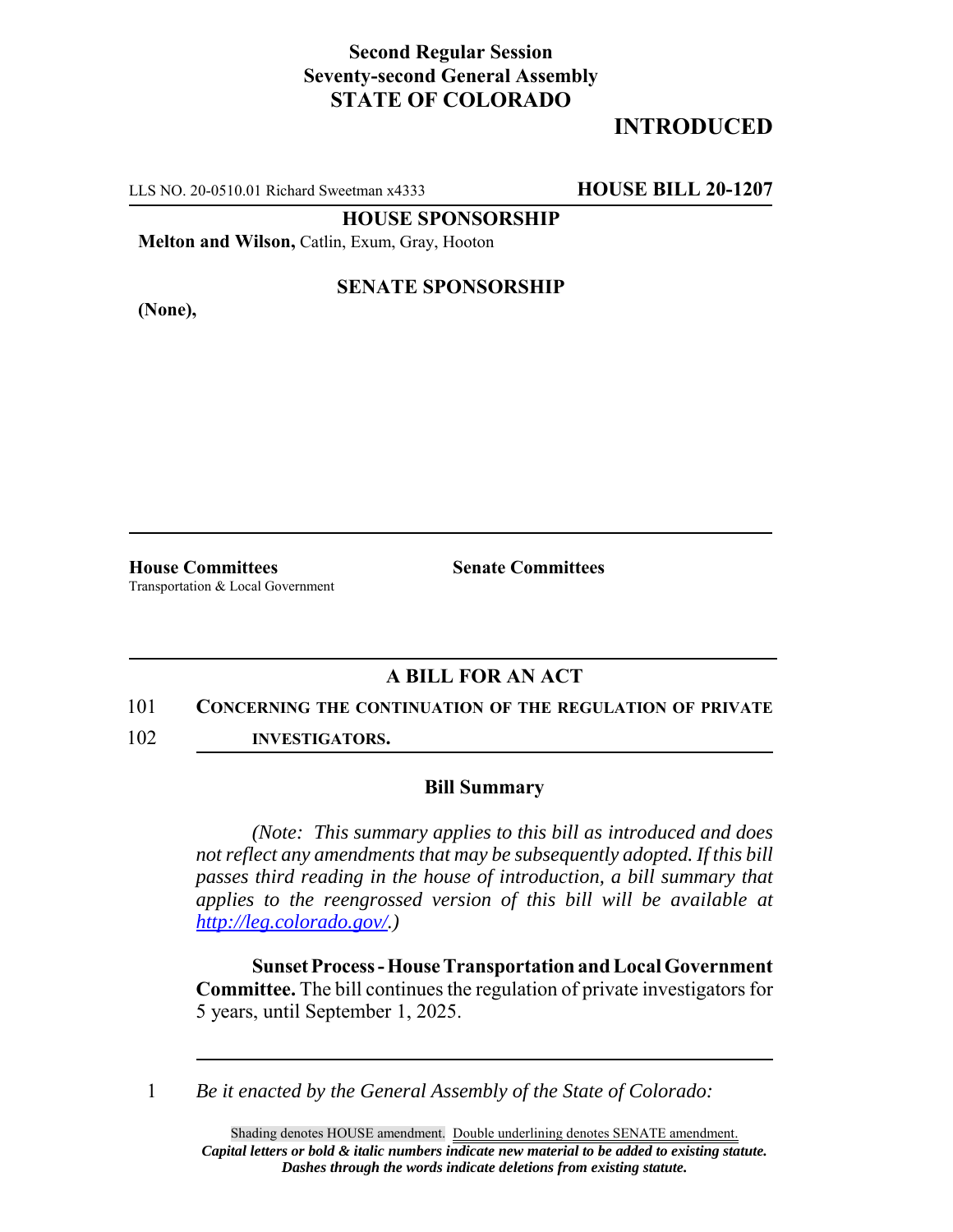## **Second Regular Session Seventy-second General Assembly STATE OF COLORADO**

# **INTRODUCED**

LLS NO. 20-0510.01 Richard Sweetman x4333 **HOUSE BILL 20-1207**

**HOUSE SPONSORSHIP**

**Melton and Wilson,** Catlin, Exum, Gray, Hooton

**(None),**

### **SENATE SPONSORSHIP**

**House Committees Senate Committees** Transportation & Local Government

## **A BILL FOR AN ACT**

#### 101 **CONCERNING THE CONTINUATION OF THE REGULATION OF PRIVATE**

102 **INVESTIGATORS.**

#### **Bill Summary**

*(Note: This summary applies to this bill as introduced and does not reflect any amendments that may be subsequently adopted. If this bill passes third reading in the house of introduction, a bill summary that applies to the reengrossed version of this bill will be available at http://leg.colorado.gov/.)*

**Sunset Process - House Transportation and Local Government Committee.** The bill continues the regulation of private investigators for 5 years, until September 1, 2025.

1 *Be it enacted by the General Assembly of the State of Colorado:*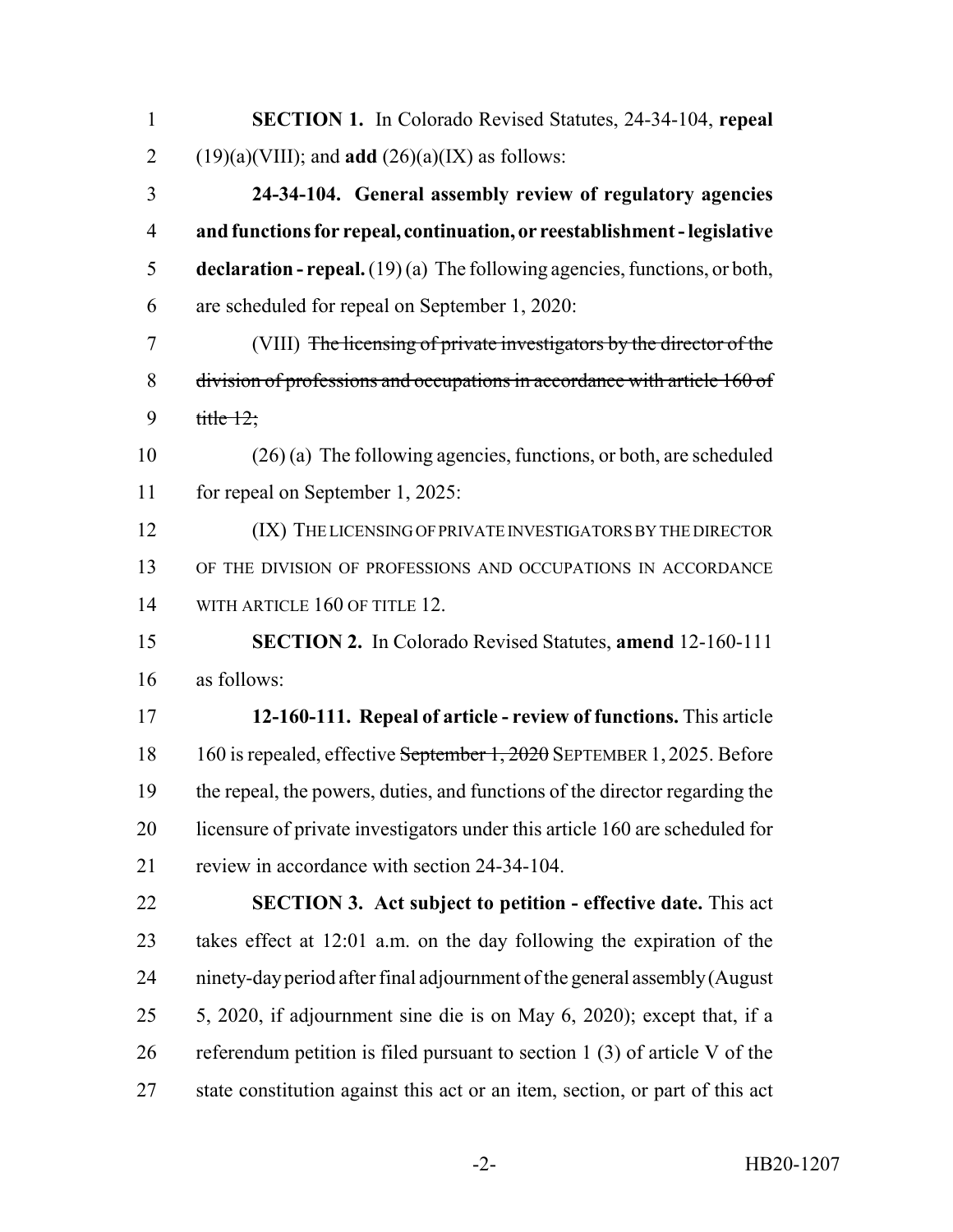| $\mathbf{1}$   | <b>SECTION 1.</b> In Colorado Revised Statutes, 24-34-104, repeal                  |
|----------------|------------------------------------------------------------------------------------|
| $\overline{2}$ | $(19)(a)(VIII)$ ; and <b>add</b> $(26)(a)(IX)$ as follows:                         |
| 3              | 24-34-104. General assembly review of regulatory agencies                          |
| $\overline{4}$ | and functions for repeal, continuation, or reestablishment - legislative           |
| 5              | <b>declaration - repeal.</b> $(19)(a)$ The following agencies, functions, or both, |
| 6              | are scheduled for repeal on September 1, 2020:                                     |
| 7              | (VIII) The licensing of private investigators by the director of the               |
| 8              | division of professions and occupations in accordance with article 160 of          |
| 9              | title $12$ ;                                                                       |
| 10             | $(26)(a)$ The following agencies, functions, or both, are scheduled                |
| 11             | for repeal on September 1, 2025:                                                   |
| 12             | (IX) THE LICENSING OF PRIVATE INVESTIGATORS BY THE DIRECTOR                        |
| 13             | OF THE DIVISION OF PROFESSIONS AND OCCUPATIONS IN ACCORDANCE                       |
| 14             | WITH ARTICLE 160 OF TITLE 12.                                                      |
| 15             | <b>SECTION 2.</b> In Colorado Revised Statutes, <b>amend</b> 12-160-111            |
| 16             | as follows:                                                                        |
| 17             | 12-160-111. Repeal of article - review of functions. This article                  |
| 18             | 160 is repealed, effective September 1, 2020 SEPTEMBER 1, 2025. Before             |
| 19             | the repeal, the powers, duties, and functions of the director regarding the        |
| 20             | licensure of private investigators under this article 160 are scheduled for        |
| 21             | review in accordance with section 24-34-104.                                       |
| 22             | <b>SECTION 3. Act subject to petition - effective date.</b> This act               |
| 23             | takes effect at 12:01 a.m. on the day following the expiration of the              |
| 24             | ninety-day period after final adjournment of the general assembly (August          |
| 25             | 5, 2020, if adjournment sine die is on May 6, 2020); except that, if a             |
| 26             | referendum petition is filed pursuant to section $1(3)$ of article V of the        |
| 27             | state constitution against this act or an item, section, or part of this act       |